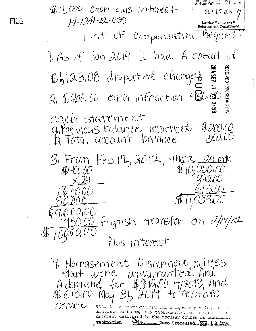rieveivev  $\n *4*11,000$  Cash plus intenest SEP 17 2014 + 14-1241-EL-CSS FILE. Service Monitoring & **Enforcement Department** List OF Compensation Preques I. As of Jan 2014 I had A credit of ECEIVED-DOCKETING DIY **1 d35 110** 46/23.08 disputed changes  $2.5200.00$  each infraction  $280.50$ egen statement anthevious balance, incorrect  $4300(10)$  $\mathcal{A} \mathcal{U}$ ,  $\mathcal{U} \mathcal{U}$ Da Total account balance  $36$  From Feb  $17$ ,  $3012$ ,  $-11$  ats,  $34$  min  $\text{H10,050,00}$  $$400.00$ 29200  $6960000$ 50.00 Figtish transfer on 2/17/12 Plus interest 4. Harrasement Disconnent notices that were unwurranted. And A demand for \$393.00 4/2013, And<br>\$613.00 May 31, 2014 to restore SCIVILLE This is to certify that the images applacing are su accurate and complete reproduction af a oase this document delivered in the regular course of business. **Technician** Date Processed SFP 19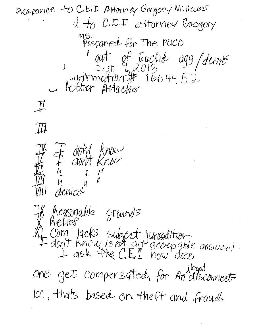Desponce to C.E.I Attorney Gregory Williams  $d +_0$  C.E.F esttorney Gregory ms.<br>Prepaned for The PUCO aut of Euclid agg/denne  $\mathbb{I}$  $\mathbb{Z}$ & don't know  $l_{\mathcal{L}}$  $\begin{matrix} \ell & \mathcal{U} \\ \mathcal{U} & \mathcal{U} \end{matrix}$ Will denied heasonable grounds 4 Com lacks subject jungdition<br>4 don't know is not an accepable answer! One get compensated, for An disconnect Ion, thats based on theft and fraud.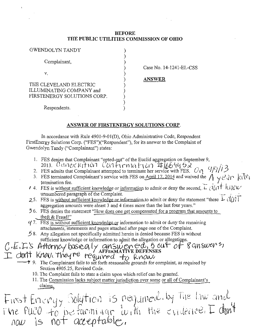## BEFORE THE PUBLIC UTILITIES COMMISSION OF OHIO

| GWENDOLYN TANDY                                                                   |  |
|-----------------------------------------------------------------------------------|--|
| Complainant,                                                                      |  |
| V.                                                                                |  |
| THE CLEVELAND ELECTRIC<br>ILLUMINATING COMPANY and<br>FIRSTENERGY SOLUTIONS CORP. |  |
| Respondents.                                                                      |  |

Case No. 14-1241-EL-CSS

ANSWER

## ANSWER OF FIRSTENERGY SOLUTIONS CORP.

In accordance with Rule 4901-9-01(D), Ohio Administrative Code, Respondent FirstEnergy Solutions Corp. ("FES")("Respondent"), for its answer to the Complaint of Gwendolyn Tandy ("Complainant") states:

- 1. FES denies that Complainant "opted-out" of the Euclid aggregation on September 9,<br>2013. CANCCICFION CONFINDATION  $\#$
- 2. FES admits that Complainant attempted to terminate her service with FES.  $O_{12}$  /  $1/13$
- 3. FES terminated Complainant's service with FES on April 17.2014 and waived the  $A \vee C \cup P$   $\langle c_1 \rangle^2$ termination fee.  $\left\{ \begin{array}{c} \downarrow \\ \downarrow \end{array} \right\}$
- **f** 4. FES is without sufficient knowledge or information to admit or deny the second,.  $L_1(U_1)T^*KV_1UV'$ unnumbered paragraph of the Complaint.  $\Box$
- 25. FES is without sufficient knowledge or information to admit or deny the statement "these  $\pm$  C( $\left\{\right\}\right\}$  1 aggregation amounts were aleast 3 and 4 times more than the last four years."
- 5 6. FES denies the statement "How does one get compensated for a program that amounts to theft  $&$  Fraud!"
- $\frac{y}{x}$ . FES is without sufficient knowledge or information to admit or deny the remaining attachments, statements and pages attached after page one of the Complaint.
- $\ddot{5}$  8. Any allegation not specifically admitted herein is denied because FES is without

sufficient knowledge or information to admit the allegation or allegations.<br>C. E. L. S Attorney basealy answer energy  $\frac{1}{2}$  of  $\frac{1}{2}$  answer  $\frac{1}{2}$ •-^ ^ ^4. I / ^ K , -M ' , , ^ ' ' AFFlKJVtATIVE DEFENSES

- ?" 9. The Complainant fails to set forth reasonable grounds for complaint, as required by Section 4905.25, Revised Code.
- 10. The Complaint fails to state a claim upon which relief can be granted.

11. The Commission lacks subject matter jurisdiction over some or all of Complainant's claims.

First Energy Solution is required by the law and<br>The PUCO to be farming the the evidence. I don't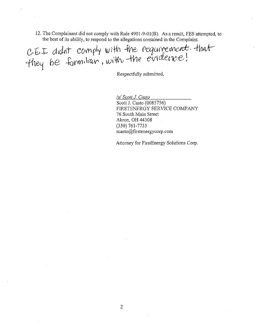12. The Complainant did not comply with Rule 4901-9-01(8). As a result, FES attempted, to the best of its ability, to respond to the allegations contained in the Complaint.

C.E.I didn't comply with the requirement. that

Respectfully submitted,

/s/ Scott J. Casio Scott J. Casto (0085756) FIRSTENERGY SERVICE COMPANY 76 South Main Street Akron, OH 44308 (330) 761-7735 scasto@firstenergy corp. com

Attorney for FirstEnergy Solutions Corp.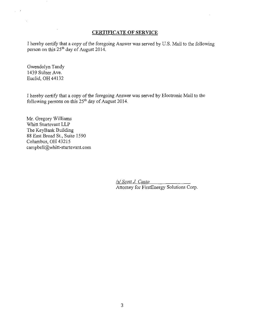## CERTIFICATE OF SERVICE

I hereby certify that a copy of the foregoing Answer was served by U.S. Mail to the following person on this  $25<sup>th</sup>$  day of August 2014.

Gwendolyn Tandy 1439 Sulzer Ave. Euclid, OH 44132

 $\bar{ }$ 

 $\sim 10$ 

 $\hat{\mathcal{A}}$  $\mathbb{R}^2$ 

> I hereby certify that a copy of the foregoing Answer was served by Electronic Mail to the following persons on this  $25<sup>th</sup>$  day of August 2014.

Mr. Gregory Williams Whitt Sturtevant LLP The KeyBank Building 88 East Broad St., Suite 1590 Columbus, OH 43215 campbell@whitt-sturtevant.com

> /s/ Scott J. Casto Attorney for FirstEnergy Solutions Corp.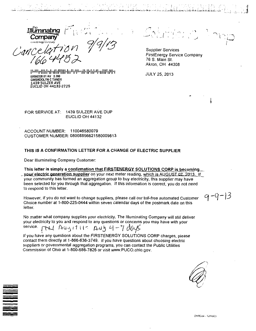the  $I$ <u>liuri liaung</u>  $\left| \begin{array}{ccc} \hline \end{array} \right|$ Company

Gance

|i-iii|'lllil>il>illi|iilli'lii<V|i<'ill'IMil'i|'ii 00000328 01 AV 0.360 GWENDOLYN C TANDY 1439 SULZER AVE EUCLID OH 44132-2725

•^



 $q - q - 13$ 

Supplier Services FirstEnergy Service Company 76 S. Main St. Akron, OH 44308

JULY 25, 2013

-.". , iii, ^:^,:iLjfc.fc'^,v"'.4'i\*^^------->.'

FOR SERVICE AT: 1439 SULZER AVE DUP EUCLID OH 44132

ACCOUNT NUMBER: 110046580079 CUSTOMER NUMBER: 08008856621580009813

### THIS IS A CONFIRMATION LETTER FOR A CHANGE OF ELECTRIC SUPPLIER

Dear Illuminating Company Customer:

This letter is simply a confirmation that FIRSTENERGY SOLUTIONS CORP is becoming **your electric generation supplier** on your next meter reading, which is AUGUST 07, 2013. If your community has formed an aggregation group to buy electricity, this supplier may have been selected for you through that aggregation, ff this information is correct, you do not need to respond to this letter.

However, if you do not want to change suppliers, please call our toll-free automated Customer Choice number at 1-800-225-0444 within seven calendar days of the postmark date on this letter.

No matter what company supplies your electricity, The Illuminating Company will still deliver your electricity to you and respond to any questions or concerns you may have with your<br>service.

 $1711$  Aug 1711 - Aug 4 - 7 doys

if you have any questions about the FIRSTENERGY SOLUTIONS CORP charges, please contact them directly at 1-866-636-3749, If you have questions about choosing electric suppliers or governmental aggregation programs, you can contact the Public Utilities Commission of Ohio at 1-800-686-7826 or visit [www.PUCO.ohio.gov.](http://www.PUCO.ohio.gov)